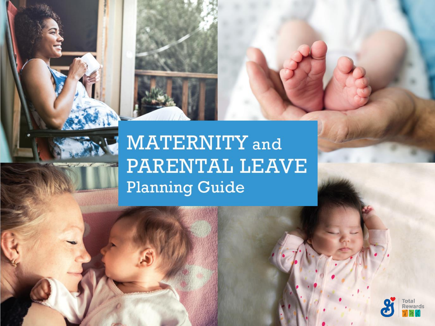

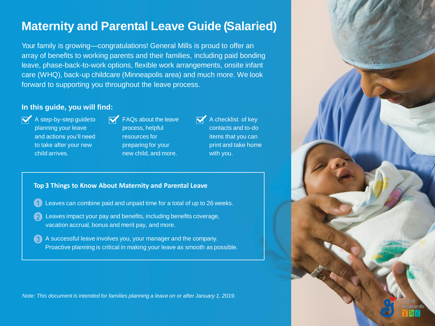## **Maternity and Parental Leave Guide ( Salaried)**

Your family is growing—congratulations! General Mills is proud to offer an array of benefits to working parents and their families, including paid bonding leave, phase-back-to-work options, flexible work arrangements, onsite infant care (WHQ), back-up childcare (Minneapolis area) and much more. We look forward to supporting you throughout the leave process.

#### **In this guide, you will find:**

- $\mathbf{A}$  A step-by-step guideto planning your leave and actions you'll need to take after your new child arrives.
- FAQs about the leave process, helpful resources for preparing for your new child, and more.

 $\overline{\mathsf{A}}$  A checklist of key contacts and to-do items that you can print and take home with you.

#### **Top 3 Things to Know About Maternity and Parental Leave**

- Leaves can combine paid and unpaid time for a total of up to 26 weeks.
- Leaves impact your pay and benefits, including benefits coverage, vacation accrual, bonus and merit pay, and more.
- A successful leave involves you, your manager and the company. Proactive planning is critical in making your leave as smooth as possible.

*Note: This document is intended for families planning a leave on or after January 1, 2019.* 

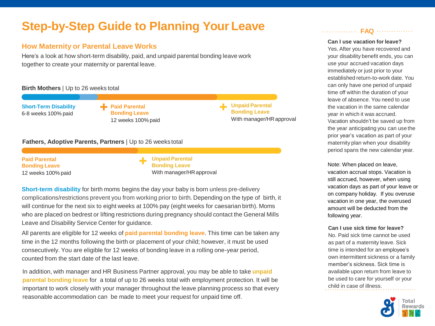# **Step-by-Step Guide to Planning Your Leave**

### **How Maternity or Parental Leave Works**

Here's a look at how short-term disability, paid, and unpaid parental bonding leave work together to create your maternity or parental leave.

#### **Birth Mothers** | Up to 26 weeks total

**Short-Term Disability** 6-8 weeks 100% paid

**Paid Parental Bonding Leave** 12 weeks 100% paid **Unpaid Parental Bonding Leave** With manager/HRapproval

#### **Fathers, Adoptive Parents, Partners** | Up to 26 weeks total

**Paid Parental Bonding Leave** 12 weeks 100% paid **Unpaid Parental Bonding Leave** With manager/HRapproval

**Short-term disability** for birth moms begins the day your baby is born unless pre-delivery complications/restrictions prevent you from working prior to birth. Depending on the type of birth, it will continue for the next six to eight weeks at 100% pay (eight weeks for caesarianbirth). Moms who are placed on bedrest or lifting restrictions during pregnancy should contact the General Mills Leave and Disability Service Center for guidance.

All parents are eligible for 12 weeks of **paid parental bonding leave**. This time can be taken any time in the 12 months following the birth or placement of your child; however, it must be used consecutively. You are eligible for 12 weeks of bonding leave in a rolling one-year period, counted from the start date of the last leave.

In addition, with manager and HR Business Partner approval, you may be able to take **unpaid parental bonding leave** for a total of up to 26 weeks total with employment protection. It will be important to work closely with your manager throughout the leave planning process so that every reasonable accommodation can be made to meet your request for unpaid time off.

#### **FAQ**

#### **Can I use vacation for leave?**

Yes. After you have recovered and your disability benefit ends, you can use your accrued vacation days immediately or just prior to your established return-to-work date. You can only have one period of unpaid time off within the duration of your leave of absence. You need to use the vacation in the same calendar year in which it was accrued. Vacation shouldn't be saved up from the year anticipating you can use the prior year's vacation as part of your maternity plan when your disability period spans the new calendar year.

Note: When placed on leave, vacation accrual stops. Vacation is still accrued, however, when using vacation days as part of your leave or on company holiday. If you overuse vacation in one year, the overused amount will be deducted from the following year.

#### **Can I use sick time for leave?**

No. Paid sick time cannot be used as part of a maternity leave. Sick time is intended for an employee's own intermittent sickness or a family member's sickness. Sick time is available upon return from leave to be used to care for yourself or your child in case of illness.

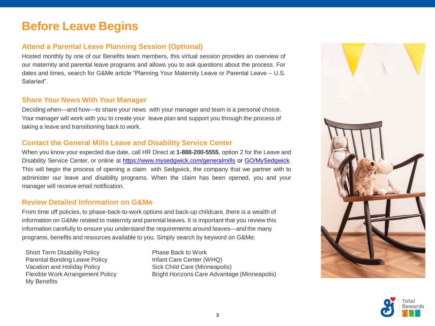## **Before Leave Begins**

## **Attend a Parental Leave Planning Session (Optional)**

Hosted monthly by one of our Benefits team members, this virtual session provides an overview of our maternity and parental leave programs and allows you to ask questions about the process. For dates and times, search for G&Me article "Planning Your Maternity Leave or Parental Leave – U.S. Salaried".

#### **Share Your News With Your Manager**

Deciding when—and how—to share your news with your manager and team is a personal choice. Your manager will work with you to create your leave plan and support you through the process of taking a leave and transitioning back to work.

## **Contact the General Mills Leave and Disability Service Center**

When you know your expected due date, call HR Direct at **1-888-200-5555**, option 2 for the Leave and Disability Service Center, or online at <https://www.mysedgwick.com/generalmills> or [GO/MySedgwick](https://myapps.microsoft.com/signin/Sedgwick%20(PROD)/f81fdde1-e8e8-4aa5-b761-a2169e5b79b6?tenantId=0c33cce8-883c-4ba5-b615-34a6e2b8ff38). This will begin the process of opening a claim with Sedgwick, the company that we partner with to administer our leave and disability programs. When the claim has been opened, you and your manager will receive email notification.

### **Review Detailed Information on G&Me**

From time off policies, to phase-back-to-work options and back-up childcare, there is a wealth of information on G&Me related to maternity and parental leaves. It is important that you review this information carefully to ensure you understand the requirements around leaves—and the many programs, benefits and resources available to you. Simply search by keyword on G&Me:

Short Term Disability Policy Parental Bonding Leave Policy Vacation and Holiday Policy Flexible Work Arrangement Policy My Benefits

Phase Back to Work Infant Care Center (WHQ) Sick Child Care (Minneapolis) Bright Horizons Care Advantage (Minneapolis)



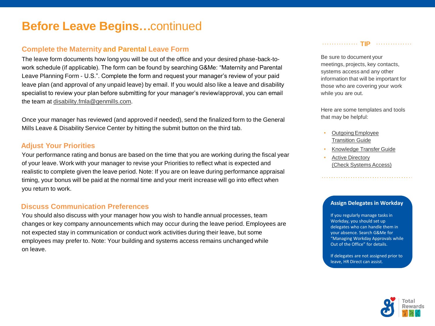## **Before Leave Begins…**continued

### **Complete the Maternity and Parental Leave Form**

The leave form documents how long you will be out of the office and your desired phase-back-towork schedule (if applicable). The form can be found by searching G&Me: "Maternity and Parental Leave Planning Form - U.S.". Complete the form and request your manager's review of your paid leave plan (and approval of any unpaid leave) by email. If you would also like a leave and disability specialist to review your plan before submitting for your manager's review/approval, you can email the team at [disability.fmla@genmills.com.](mailto:disability.fmla@genmills.com)

Once your manager has reviewed (and approved if needed), send the finalized form to the General Mills Leave & Disability Service Center by hitting the submit button on the third tab.

#### **Adjust Your Priorities**

Your performance rating and bonus are based on the time that you are working during the fiscal year of your leave. Work with your manager to revise your Priorities to reflect what is expected and realistic to complete given the leave period. Note: If you are on leave during performance appraisal timing, your bonus will be paid at the normal time and your merit increase will go into effect when you return to work.

#### **Discuss Communication Preferences**

You should also discuss with your manager how you wish to handle annual processes, team changes or key company announcements which may occur during the leave period. Employees are not expected stay in communication or conduct work activities during their leave, but some employees may prefer to. Note: Your building and systems access remains unchanged while on leave.

#### **TIP**

Be sure to document your meetings, projects, key contacts, systems access and any other information that will be important for those who are covering your work while you are out.

Here are some templates and tools that may be helpful:

- [OutgoingEmployee](https://genmills.service-now.com/gmihrsp?id=kb_article&sys_id=676f8b8edb4947008b60ff9aae96196f)  Transition Guide
- [Knowledge Transfer](https://sp.generalmills.com/sites/GBSLD/_layouts/15/WopiFrame2.aspx?sourcedoc=/sites/GBSLD/Documents/Onboarding/Job%20Transitions%20Knowledge%20Transfer%20Template.docx&action=default) Guide
- **Active [Directory](https://admanagement.genmills.com/#/Check-Access)** [\(Check Systems](https://admanagement.genmills.com/#/Check-Access) Access)

#### **Assign Delegates in Workday**

If you regularly manage tasks in Workday, you should set up delegates who can handle them in your absence. Search G&Me for "Managing Workday Approvals while Out of the Office" for details.

If delegates are not assigned prior to leave, HR Direct can assist.

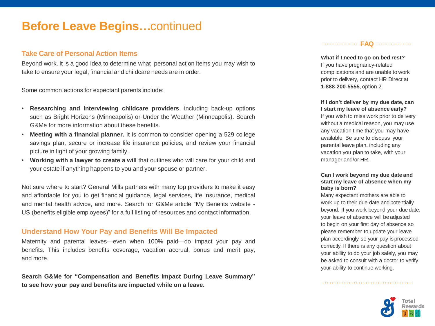## **Before Leave Begins…**continued

#### **Take Care of Personal Action Items**

Beyond work, it is a good idea to determine what personal action items you may wish to take to ensure your legal, financial and childcare needs are in order.

Some common actions for expectant parents include:

- **Researching and interviewing childcare providers**, including back-up options such as Bright Horizons (Minneapolis) or Under the Weather (Minneapolis). Search G&Me for more information about these benefits.
- **Meeting with a financial planner.** It is common to consider opening a 529 college savings plan, secure or increase life insurance policies, and review your financial picture in light of your growing family.
- **Working with a lawyer to create a will** that outlines who will care for your child and your estate if anything happens to you and your spouse or partner.

Not sure where to start? General Mills partners with many top providers to make it easy and affordable for you to get financial guidance, legal services, life insurance, medical and mental health advice, and more. Search for G&Me article "My Benefits website - US (benefits eligible employees)" for a full listing of resources and contact information.

#### **Understand How Your Pay and Benefits Will Be Impacted**

Maternity and parental leaves—even when 100% paid—do impact your pay and benefits. This includes benefits coverage, vacation accrual, bonus and merit pay, and more.

**Search G&Me for "Compensation and Benefits Impact During Leave Summary" to see how your pay and benefits are impacted while on a leave.**

#### **FAQ** ............

**What if I need to go on bed rest?** If you have pregnancy-related complications and are unable to work prior to delivery, contact HR Direct at **1-888-200-5555**, option 2.

**If I don't deliver by my due date, can I start my leave of absence early?**

If you wish to miss work prior to delivery without a medical reason, you may use any vacation time that you may have available. Be sure to discuss your parental leave plan, including any vacation you plan to take, with your manager and/or HR.

#### **Can I work beyond my due date and start my leave of absence when my baby is born?**

Many expectant mothers are able to work up to their due date and potentially beyond. If you work beyond your due date, your leave of absence will be adjusted to begin on your first day of absence so please remember to update your leave plan accordingly so your pay isprocessed correctly. If there is any question about your ability to do your job safely, you may be asked to consult with a doctor to verify your ability to continue working.

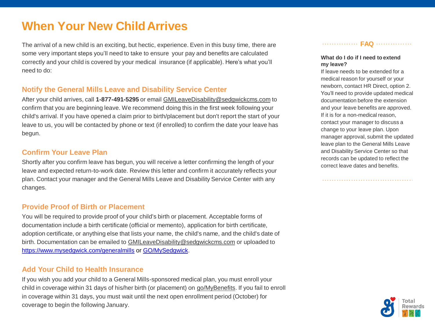# **When Your New ChildArrives**

The arrival of a new child is an exciting, but hectic, experience. Even in this busy time, there are some very important steps you'll need to take to ensure your pay and benefits are calculated correctly and your childis covered by your medical insurance (if applicable). Here's what you'll need to do:

#### **Notify the General Mills Leave and Disability Service Center**

After your child arrives, call **1-877-491-5295**or email [GMILeaveDisability@sedgwickcms.com](mailto:GMILeaveDisability@sedgwickcms.com) to confirm that you are beginning leave. We recommend doing this in the first week following your child's arrival. If you have opened a claim prior to birth/placement but don't report the start of your leave to us, you will be contacted by phone or text (if enrolled) to confirm the date your leave has begun.

#### **Confirm Your Leave Plan**

Shortly after you confirm leave has begun, you will receive a letter confirming the length of your leave and expected return-to-work date. Review this letter and confirm it accurately reflects your plan. Contact your manager and the General Mills Leave and Disability Service Center with any changes.

#### **Provide Proof of Birth or Placement**

You will be required to provide proof of your child's birth or placement. Acceptable forms of documentation include a birth certificate (official or memento), application for birth certificate, adoption certificate, or anything else that lists your name, the child's name, and the child's date of birth. Documentation can be emailed to [GMILeaveDisability@sedgwickcms.com](mailto:GMILeaveDisability@sedgwickcms.com) or uploaded to <https://www.mysedgwick.com/generalmills> or [GO/MySedgwick.](https://myapps.microsoft.com/signin/Sedgwick%20(PROD)/f81fdde1-e8e8-4aa5-b761-a2169e5b79b6?tenantId=0c33cce8-883c-4ba5-b615-34a6e2b8ff38)

#### **Add Your Child to Health Insurance**

If you wish you add your child to a General Mills-sponsored medical plan, you must enroll your child in coverage within 31 days of his/her birth (or placement) on [go/MyBenefits.](https://beplb01.sse.hewitt.com/sp/startSSO.ping?PartnerIdpId=http://sts.generalmills.com/adfs/services/trust&TargetResource=https://sso.hewitt.com/ybr?pageCd%3DYBR_PAGE) If you fail to enroll in coverage within 31 days, you must wait until the next open enrollment period (October) for coverage to begin the following January.

**FAQ** .............

#### **What do I do if I need to extend my leave?**

If leave needs to be extended for a medical reason for yourself or your newborn, contact HR Direct, option 2. You'll need to provide updated medical documentation before the extension and your leave benefits are approved. If it is for a non-medical reason, contact your manager to discuss a change to your leave plan. Upon manager approval, submit the updated leave plan to the General Mills Leave and Disability Service Center so that records can be updated to reflect the correct leave dates and benefits.

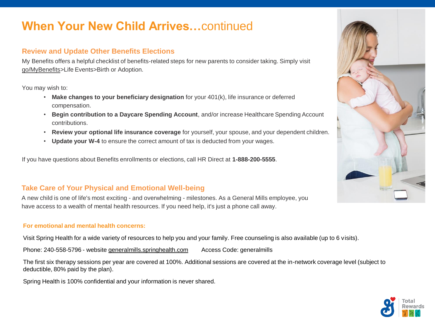# **When Your New Child Arrives…**continued

## **Review and Update Other Benefits Elections**

My Benefits offers a helpful checklist of benefits-related steps for new parents to consider taking. Simply visit [go/MyBenefits>](https://beplb01.sse.hewitt.com/sp/startSSO.ping?PartnerIdpId=http://sts.generalmills.com/adfs/services/trust&TargetResource=https://sso.hewitt.com/ybr?pageCd%3DYBR_PAGE)Life Events>Birth or Adoption.

You may wish to:

- **Make changes to your beneficiary designation** for your 401(k), life insurance or deferred compensation.
- **Begin contribution to a Daycare Spending Account**, and/or increase Healthcare Spending Account contributions.
- **Review your optional life insurance coverage** for yourself, your spouse, and your dependent children.
- **Update your W-4** to ensure the correct amount of tax is deducted from your wages.

If you have questions about Benefits enrollments or elections, call HR Direct at **1-888-200-5555**.

## **Take Care of Your Physical and Emotional Well-being**

A new child is one of life's most exciting - and overwhelming - milestones. As a General Mills employee, you have access to a wealth of mental health resources. If you need help, it's just a phone call away.

#### **For emotional and mental health concerns:**

Visit Spring Health for a wide variety of resources to help you and your family. Free counseling is also available (up to 6 visits).

Phone: 240-558-5796 - website [generalmills.springhealth.com](https://generalmills.springhealth.com/) Access Code: generalmills

The first six therapy sessions per year are covered at 100%. Additional sessions are covered at the in-network coverage level (subject to deductible, 80% paid by the plan).

Spring Health is 100% confidential and your information is never shared.



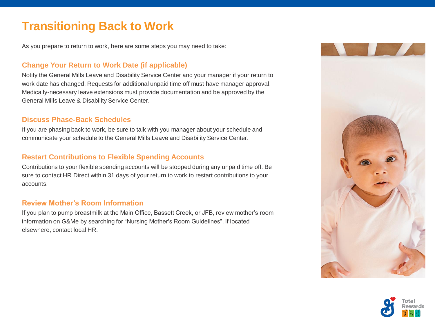# **Transitioning Back to Work**

As you prepare to return to work, here are some steps you may need to take:

## **Change Your Return to Work Date (if applicable)**

Notify the General Mills Leave and Disability Service Center and your manager if your return to work date has changed. Requests for additional unpaid time off must have manager approval. Medically-necessary leave extensions must provide documentation and be approved by the General Mills Leave & Disability Service Center.

### **Discuss Phase-Back Schedules**

If you are phasing back to work, be sure to talk with you manager about your schedule and communicate your schedule to the General Mills Leave and Disability Service Center.

### **Restart Contributions to Flexible Spending Accounts**

Contributions to your flexible spending accounts will be stopped during any unpaid time off. Be sure to contact HR Direct within 31 days of your return to work to restart contributions to your accounts.

#### **Review Mother's Room Information**

If you plan to pump breastmilk at the Main Office, Bassett Creek, or JFB, review mother's room information on G&Me by searching for "Nursing Mother's Room Guidelines". If located elsewhere, contact local HR.